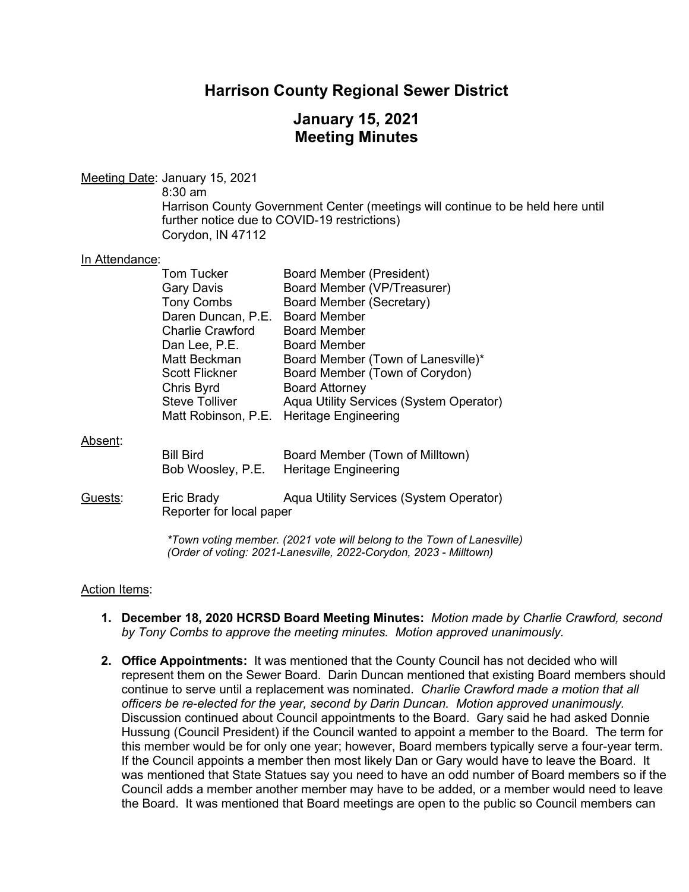## **Harrison County Regional Sewer District**

# **January 15, 2021 Meeting Minutes**

Meeting Date: January 15, 2021

8:30 am

Harrison County Government Center (meetings will continue to be held here until further notice due to COVID-19 restrictions) Corydon, IN 47112

#### In Attendance:

| <b>Tom Tucker</b>       | <b>Board Member (President)</b>         |
|-------------------------|-----------------------------------------|
| <b>Gary Davis</b>       | Board Member (VP/Treasurer)             |
| <b>Tony Combs</b>       | <b>Board Member (Secretary)</b>         |
| Daren Duncan, P.E.      | <b>Board Member</b>                     |
| <b>Charlie Crawford</b> | <b>Board Member</b>                     |
| Dan Lee, P.E.           | <b>Board Member</b>                     |
| Matt Beckman            | Board Member (Town of Lanesville)*      |
| <b>Scott Flickner</b>   | Board Member (Town of Corydon)          |
| Chris Byrd              | <b>Board Attorney</b>                   |
| <b>Steve Tolliver</b>   | Aqua Utility Services (System Operator) |
| Matt Robinson, P.E.     | <b>Heritage Engineering</b>             |
|                         |                                         |
|                         |                                         |
| <b>Bill Bird</b>        | Board Member (Town of Milltown)         |
| Bob Woosley, P.E.       | <b>Heritage Engineering</b>             |

Guests: Eric Brady Aqua Utility Services (System Operator) Reporter for local paper

> *\*Town voting member. (2021 vote will belong to the Town of Lanesville) (Order of voting: 2021-Lanesville, 2022-Corydon, 2023 - Milltown)*

#### Action Items:

Absent:

- **1. December 18, 2020 HCRSD Board Meeting Minutes:** *Motion made by Charlie Crawford, second by Tony Combs to approve the meeting minutes. Motion approved unanimously.*
- **2. Office Appointments:** It was mentioned that the County Council has not decided who will represent them on the Sewer Board. Darin Duncan mentioned that existing Board members should continue to serve until a replacement was nominated. *Charlie Crawford made a motion that all officers be re-elected for the year, second by Darin Duncan. Motion approved unanimously.*  Discussion continued about Council appointments to the Board. Gary said he had asked Donnie Hussung (Council President) if the Council wanted to appoint a member to the Board. The term for this member would be for only one year; however, Board members typically serve a four-year term. If the Council appoints a member then most likely Dan or Gary would have to leave the Board. It was mentioned that State Statues say you need to have an odd number of Board members so if the Council adds a member another member may have to be added, or a member would need to leave the Board. It was mentioned that Board meetings are open to the public so Council members can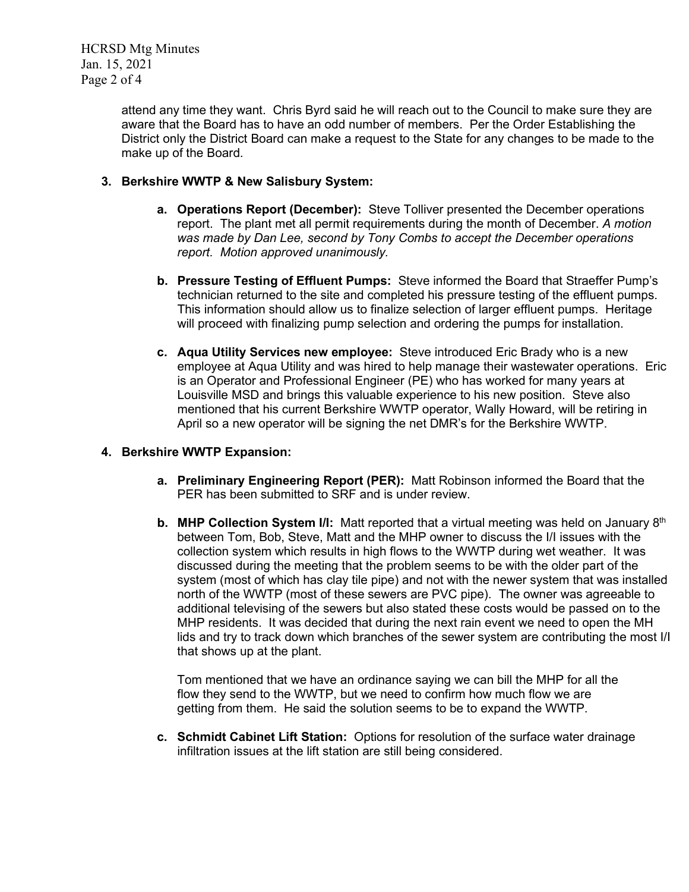HCRSD Mtg Minutes Jan. 15, 2021 Page 2 of 4

> attend any time they want. Chris Byrd said he will reach out to the Council to make sure they are aware that the Board has to have an odd number of members. Per the Order Establishing the District only the District Board can make a request to the State for any changes to be made to the make up of the Board.

## **3. Berkshire WWTP & New Salisbury System:**

- **a. Operations Report (December):** Steve Tolliver presented the December operations report. The plant met all permit requirements during the month of December. *A motion was made by Dan Lee, second by Tony Combs to accept the December operations report. Motion approved unanimously.*
- **b. Pressure Testing of Effluent Pumps:** Steve informed the Board that Straeffer Pump's technician returned to the site and completed his pressure testing of the effluent pumps. This information should allow us to finalize selection of larger effluent pumps. Heritage will proceed with finalizing pump selection and ordering the pumps for installation.
- **c. Aqua Utility Services new employee:** Steve introduced Eric Brady who is a new employee at Aqua Utility and was hired to help manage their wastewater operations. Eric is an Operator and Professional Engineer (PE) who has worked for many years at Louisville MSD and brings this valuable experience to his new position. Steve also mentioned that his current Berkshire WWTP operator, Wally Howard, will be retiring in April so a new operator will be signing the net DMR's for the Berkshire WWTP.

## **4. Berkshire WWTP Expansion:**

- **a. Preliminary Engineering Report (PER):** Matt Robinson informed the Board that the PER has been submitted to SRF and is under review.
- **b.** MHP Collection System I/I: Matt reported that a virtual meeting was held on January 8<sup>th</sup> between Tom, Bob, Steve, Matt and the MHP owner to discuss the I/I issues with the collection system which results in high flows to the WWTP during wet weather. It was discussed during the meeting that the problem seems to be with the older part of the system (most of which has clay tile pipe) and not with the newer system that was installed north of the WWTP (most of these sewers are PVC pipe). The owner was agreeable to additional televising of the sewers but also stated these costs would be passed on to the MHP residents. It was decided that during the next rain event we need to open the MH lids and try to track down which branches of the sewer system are contributing the most I/I that shows up at the plant.

Tom mentioned that we have an ordinance saying we can bill the MHP for all the flow they send to the WWTP, but we need to confirm how much flow we are getting from them. He said the solution seems to be to expand the WWTP.

**c. Schmidt Cabinet Lift Station:** Options for resolution of the surface water drainage infiltration issues at the lift station are still being considered.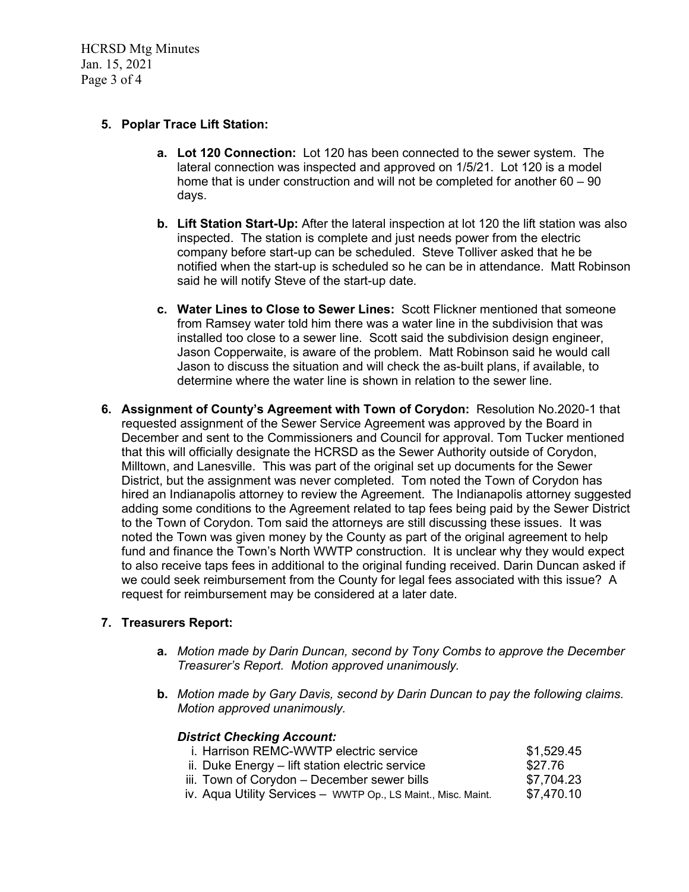HCRSD Mtg Minutes Jan. 15, 2021 Page 3 of 4

### **5. Poplar Trace Lift Station:**

- **a. Lot 120 Connection:** Lot 120 has been connected to the sewer system. The lateral connection was inspected and approved on 1/5/21. Lot 120 is a model home that is under construction and will not be completed for another 60 – 90 days.
- **b. Lift Station Start-Up:** After the lateral inspection at lot 120 the lift station was also inspected. The station is complete and just needs power from the electric company before start-up can be scheduled. Steve Tolliver asked that he be notified when the start-up is scheduled so he can be in attendance. Matt Robinson said he will notify Steve of the start-up date.
- **c. Water Lines to Close to Sewer Lines:** Scott Flickner mentioned that someone from Ramsey water told him there was a water line in the subdivision that was installed too close to a sewer line. Scott said the subdivision design engineer, Jason Copperwaite, is aware of the problem. Matt Robinson said he would call Jason to discuss the situation and will check the as-built plans, if available, to determine where the water line is shown in relation to the sewer line.
- **6. Assignment of County's Agreement with Town of Corydon:** Resolution No.2020-1 that requested assignment of the Sewer Service Agreement was approved by the Board in December and sent to the Commissioners and Council for approval. Tom Tucker mentioned that this will officially designate the HCRSD as the Sewer Authority outside of Corydon, Milltown, and Lanesville. This was part of the original set up documents for the Sewer District, but the assignment was never completed. Tom noted the Town of Corydon has hired an Indianapolis attorney to review the Agreement. The Indianapolis attorney suggested adding some conditions to the Agreement related to tap fees being paid by the Sewer District to the Town of Corydon. Tom said the attorneys are still discussing these issues. It was noted the Town was given money by the County as part of the original agreement to help fund and finance the Town's North WWTP construction. It is unclear why they would expect to also receive taps fees in additional to the original funding received. Darin Duncan asked if we could seek reimbursement from the County for legal fees associated with this issue? A request for reimbursement may be considered at a later date.

### **7. Treasurers Report:**

- **a.** *Motion made by Darin Duncan, second by Tony Combs to approve the December Treasurer's Report. Motion approved unanimously.*
- **b.** *Motion made by Gary Davis, second by Darin Duncan to pay the following claims. Motion approved unanimously.*

#### *District Checking Account:* i. Harrison REMC-WWTP electric service  $$1,529.45$ ii. Duke Energy – lift station electric service  $$27.76$ iii. Town of Corydon – December sewer bills  $$7,704.23$ iv. Aqua Utility Services - WWTP Op., LS Maint., Misc. Maint. \$7,470.10